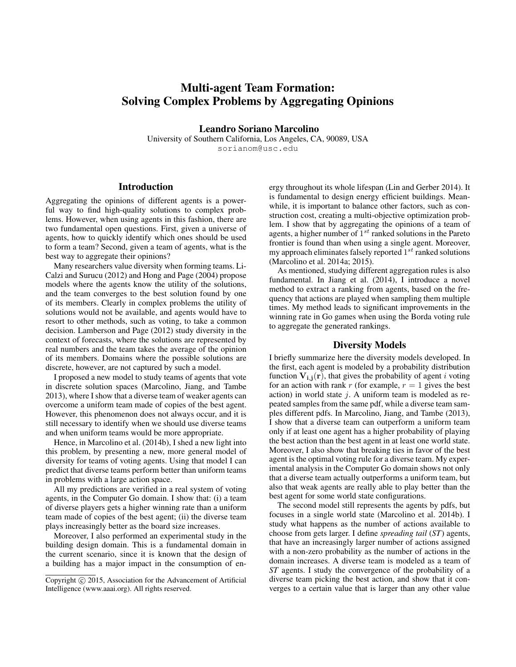# Multi-agent Team Formation: Solving Complex Problems by Aggregating Opinions

Leandro Soriano Marcolino University of Southern California, Los Angeles, CA, 90089, USA sorianom@usc.edu

## Introduction

Aggregating the opinions of different agents is a powerful way to find high-quality solutions to complex problems. However, when using agents in this fashion, there are two fundamental open questions. First, given a universe of agents, how to quickly identify which ones should be used to form a team? Second, given a team of agents, what is the best way to aggregate their opinions?

Many researchers value diversity when forming teams. Li-Calzi and Surucu (2012) and Hong and Page (2004) propose models where the agents know the utility of the solutions, and the team converges to the best solution found by one of its members. Clearly in complex problems the utility of solutions would not be available, and agents would have to resort to other methods, such as voting, to take a common decision. Lamberson and Page (2012) study diversity in the context of forecasts, where the solutions are represented by real numbers and the team takes the average of the opinion of its members. Domains where the possible solutions are discrete, however, are not captured by such a model.

I proposed a new model to study teams of agents that vote in discrete solution spaces (Marcolino, Jiang, and Tambe 2013), where I show that a diverse team of weaker agents can overcome a uniform team made of copies of the best agent. However, this phenomenon does not always occur, and it is still necessary to identify when we should use diverse teams and when uniform teams would be more appropriate.

Hence, in Marcolino et al. (2014b), I shed a new light into this problem, by presenting a new, more general model of diversity for teams of voting agents. Using that model I can predict that diverse teams perform better than uniform teams in problems with a large action space.

All my predictions are verified in a real system of voting agents, in the Computer Go domain. I show that: (i) a team of diverse players gets a higher winning rate than a uniform team made of copies of the best agent; (ii) the diverse team plays increasingly better as the board size increases.

Moreover, I also performed an experimental study in the building design domain. This is a fundamental domain in the current scenario, since it is known that the design of a building has a major impact in the consumption of energy throughout its whole lifespan (Lin and Gerber 2014). It is fundamental to design energy efficient buildings. Meanwhile, it is important to balance other factors, such as construction cost, creating a multi-objective optimization problem. I show that by aggregating the opinions of a team of agents, a higher number of  $1^{st}$  ranked solutions in the Pareto frontier is found than when using a single agent. Moreover, my approach eliminates falsely reported  $1^{st}$  ranked solutions (Marcolino et al. 2014a; 2015).

As mentioned, studying different aggregation rules is also fundamental. In Jiang et al. (2014), I introduce a novel method to extract a ranking from agents, based on the frequency that actions are played when sampling them multiple times. My method leads to significant improvements in the winning rate in Go games when using the Borda voting rule to aggregate the generated rankings.

#### Diversity Models

I briefly summarize here the diversity models developed. In the first, each agent is modeled by a probability distribution function  $V_{i,i}(r)$ , that gives the probability of agent i voting for an action with rank r (for example,  $r = 1$  gives the best action) in world state  $j$ . A uniform team is modeled as repeated samples from the same pdf, while a diverse team samples different pdfs. In Marcolino, Jiang, and Tambe (2013), I show that a diverse team can outperform a uniform team only if at least one agent has a higher probability of playing the best action than the best agent in at least one world state. Moreover, I also show that breaking ties in favor of the best agent is the optimal voting rule for a diverse team. My experimental analysis in the Computer Go domain shows not only that a diverse team actually outperforms a uniform team, but also that weak agents are really able to play better than the best agent for some world state configurations.

The second model still represents the agents by pdfs, but focuses in a single world state (Marcolino et al. 2014b). I study what happens as the number of actions available to choose from gets larger. I define *spreading tail* (*ST*) agents, that have an increasingly larger number of actions assigned with a non-zero probability as the number of actions in the domain increases. A diverse team is modeled as a team of *ST* agents. I study the convergence of the probability of a diverse team picking the best action, and show that it converges to a certain value that is larger than any other value

Copyright © 2015, Association for the Advancement of Artificial Intelligence (www.aaai.org). All rights reserved.